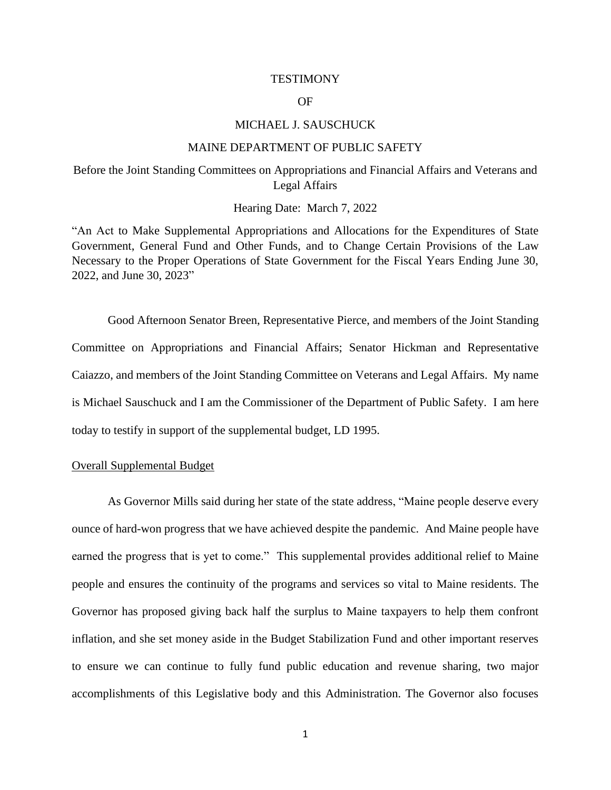### **TESTIMONY**

## OF

### MICHAEL J. SAUSCHUCK

#### MAINE DEPARTMENT OF PUBLIC SAFETY

# Before the Joint Standing Committees on Appropriations and Financial Affairs and Veterans and Legal Affairs

### Hearing Date: March 7, 2022

"An Act to Make Supplemental Appropriations and Allocations for the Expenditures of State Government, General Fund and Other Funds, and to Change Certain Provisions of the Law Necessary to the Proper Operations of State Government for the Fiscal Years Ending June 30, 2022, and June 30, 2023"

Good Afternoon Senator Breen, Representative Pierce, and members of the Joint Standing Committee on Appropriations and Financial Affairs; Senator Hickman and Representative Caiazzo, and members of the Joint Standing Committee on Veterans and Legal Affairs. My name is Michael Sauschuck and I am the Commissioner of the Department of Public Safety. I am here today to testify in support of the supplemental budget, LD 1995.

## Overall Supplemental Budget

As Governor Mills said during her state of the state address, "Maine people deserve every ounce of hard-won progress that we have achieved despite the pandemic. And Maine people have earned the progress that is yet to come." This supplemental provides additional relief to Maine people and ensures the continuity of the programs and services so vital to Maine residents. The Governor has proposed giving back half the surplus to Maine taxpayers to help them confront inflation, and she set money aside in the Budget Stabilization Fund and other important reserves to ensure we can continue to fully fund public education and revenue sharing, two major accomplishments of this Legislative body and this Administration. The Governor also focuses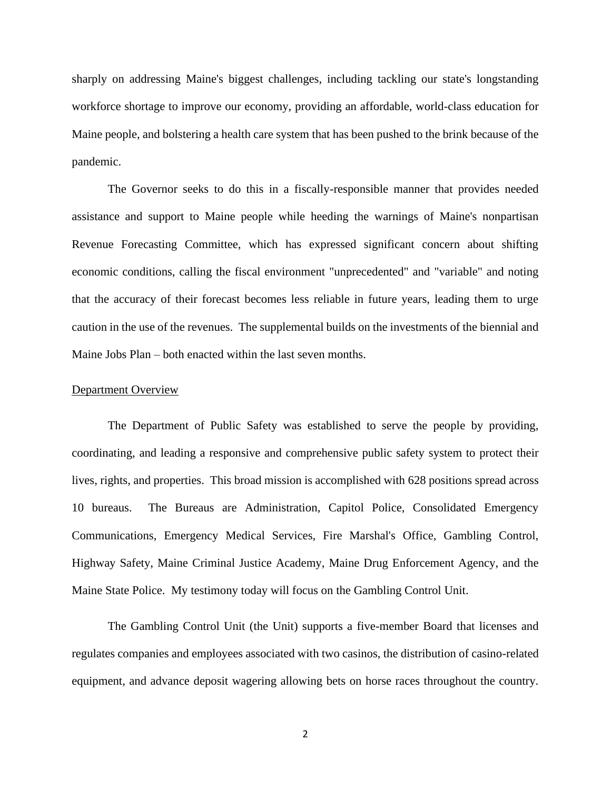sharply on addressing Maine's biggest challenges, including tackling our state's longstanding workforce shortage to improve our economy, providing an affordable, world-class education for Maine people, and bolstering a health care system that has been pushed to the brink because of the pandemic.

The Governor seeks to do this in a fiscally-responsible manner that provides needed assistance and support to Maine people while heeding the warnings of Maine's nonpartisan Revenue Forecasting Committee, which has expressed significant concern about shifting economic conditions, calling the fiscal environment "unprecedented" and "variable" and noting that the accuracy of their forecast becomes less reliable in future years, leading them to urge caution in the use of the revenues. The supplemental builds on the investments of the biennial and Maine Jobs Plan – both enacted within the last seven months.

### Department Overview

The Department of Public Safety was established to serve the people by providing, coordinating, and leading a responsive and comprehensive public safety system to protect their lives, rights, and properties. This broad mission is accomplished with 628 positions spread across 10 bureaus. The Bureaus are Administration, Capitol Police, Consolidated Emergency Communications, Emergency Medical Services, Fire Marshal's Office, Gambling Control, Highway Safety, Maine Criminal Justice Academy, Maine Drug Enforcement Agency, and the Maine State Police. My testimony today will focus on the Gambling Control Unit.

The Gambling Control Unit (the Unit) supports a five-member Board that licenses and regulates companies and employees associated with two casinos, the distribution of casino-related equipment, and advance deposit wagering allowing bets on horse races throughout the country.